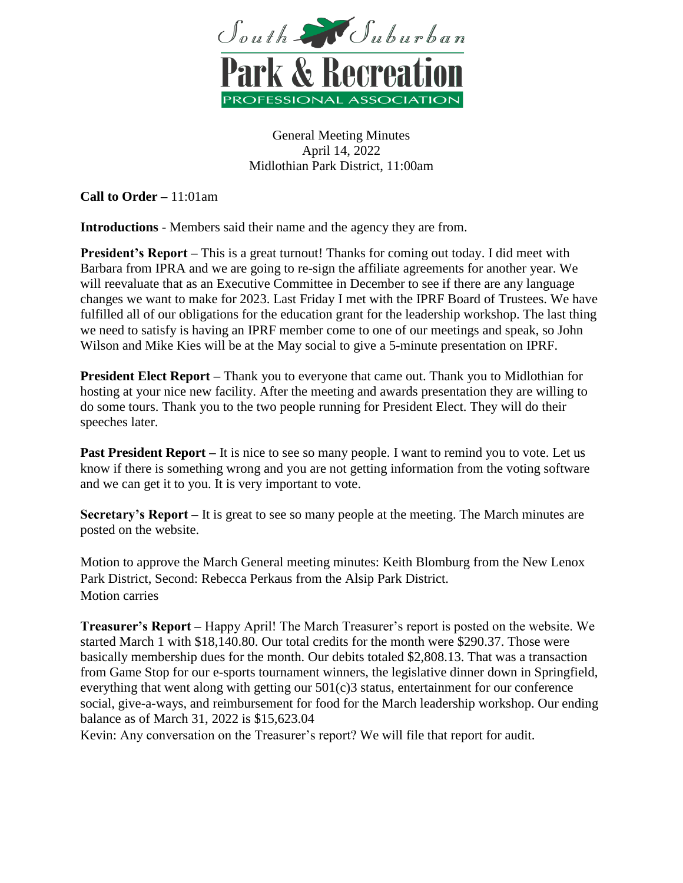

General Meeting Minutes April 14, 2022 Midlothian Park District, 11:00am

**Call to Order –** 11:01am

**Introductions** - Members said their name and the agency they are from.

**President's Report –** This is a great turnout! Thanks for coming out today. I did meet with Barbara from IPRA and we are going to re-sign the affiliate agreements for another year. We will reevaluate that as an Executive Committee in December to see if there are any language changes we want to make for 2023. Last Friday I met with the IPRF Board of Trustees. We have fulfilled all of our obligations for the education grant for the leadership workshop. The last thing we need to satisfy is having an IPRF member come to one of our meetings and speak, so John Wilson and Mike Kies will be at the May social to give a 5-minute presentation on IPRF.

**President Elect Report –** Thank you to everyone that came out. Thank you to Midlothian for hosting at your nice new facility. After the meeting and awards presentation they are willing to do some tours. Thank you to the two people running for President Elect. They will do their speeches later.

**Past President Report** – It is nice to see so many people. I want to remind you to vote. Let us know if there is something wrong and you are not getting information from the voting software and we can get it to you. It is very important to vote.

**Secretary's Report –** It is great to see so many people at the meeting. The March minutes are posted on the website.

Motion to approve the March General meeting minutes: Keith Blomburg from the New Lenox Park District, Second: Rebecca Perkaus from the Alsip Park District. Motion carries

**Treasurer's Report –** Happy April! The March Treasurer's report is posted on the website. We started March 1 with \$18,140.80. Our total credits for the month were \$290.37. Those were basically membership dues for the month. Our debits totaled \$2,808.13. That was a transaction from Game Stop for our e-sports tournament winners, the legislative dinner down in Springfield, everything that went along with getting our 501(c)3 status, entertainment for our conference social, give-a-ways, and reimbursement for food for the March leadership workshop. Our ending balance as of March 31, 2022 is \$15,623.04

Kevin: Any conversation on the Treasurer's report? We will file that report for audit.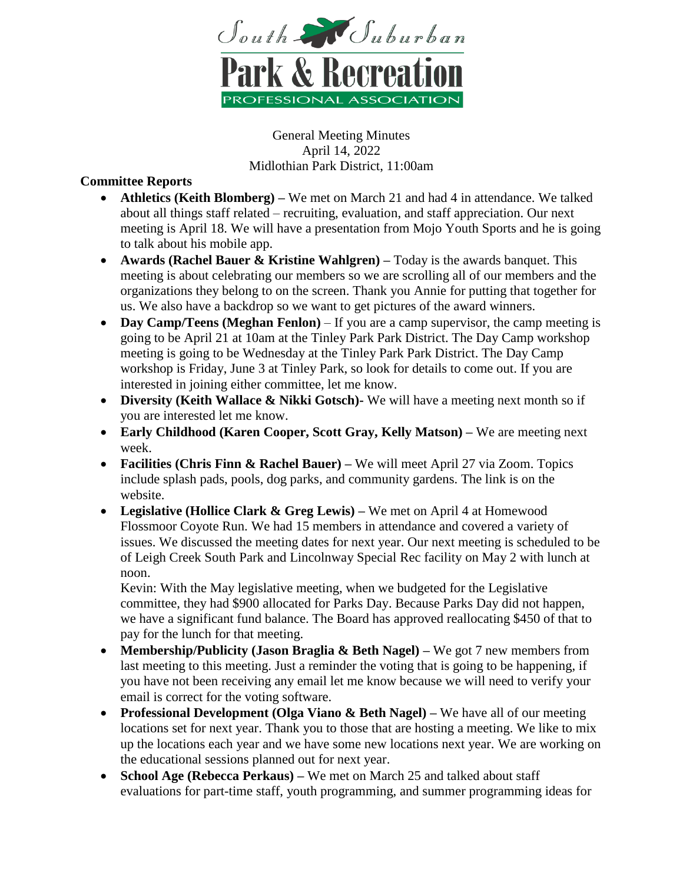

General Meeting Minutes April 14, 2022 Midlothian Park District, 11:00am

# **Committee Reports**

- **Athletics (Keith Blomberg) –** We met on March 21 and had 4 in attendance. We talked about all things staff related – recruiting, evaluation, and staff appreciation. Our next meeting is April 18. We will have a presentation from Mojo Youth Sports and he is going to talk about his mobile app.
- **Awards (Rachel Bauer & Kristine Wahlgren) –** Today is the awards banquet. This meeting is about celebrating our members so we are scrolling all of our members and the organizations they belong to on the screen. Thank you Annie for putting that together for us. We also have a backdrop so we want to get pictures of the award winners.
- **Day Camp/Teens (Meghan Fenlon)** If you are a camp supervisor, the camp meeting is going to be April 21 at 10am at the Tinley Park Park District. The Day Camp workshop meeting is going to be Wednesday at the Tinley Park Park District. The Day Camp workshop is Friday, June 3 at Tinley Park, so look for details to come out. If you are interested in joining either committee, let me know.
- **Diversity (Keith Wallace & Nikki Gotsch)-** We will have a meeting next month so if you are interested let me know.
- **Early Childhood (Karen Cooper, Scott Gray, Kelly Matson) –** We are meeting next week.
- **Facilities (Chris Finn & Rachel Bauer) –** We will meet April 27 via Zoom. Topics include splash pads, pools, dog parks, and community gardens. The link is on the website.
- **Legislative (Hollice Clark & Greg Lewis) –** We met on April 4 at Homewood Flossmoor Coyote Run. We had 15 members in attendance and covered a variety of issues. We discussed the meeting dates for next year. Our next meeting is scheduled to be of Leigh Creek South Park and Lincolnway Special Rec facility on May 2 with lunch at noon.

Kevin: With the May legislative meeting, when we budgeted for the Legislative committee, they had \$900 allocated for Parks Day. Because Parks Day did not happen, we have a significant fund balance. The Board has approved reallocating \$450 of that to pay for the lunch for that meeting.

- **Membership/Publicity (Jason Braglia & Beth Nagel) –** We got 7 new members from last meeting to this meeting. Just a reminder the voting that is going to be happening, if you have not been receiving any email let me know because we will need to verify your email is correct for the voting software.
- **Professional Development (Olga Viano & Beth Nagel) –** We have all of our meeting locations set for next year. Thank you to those that are hosting a meeting. We like to mix up the locations each year and we have some new locations next year. We are working on the educational sessions planned out for next year.
- **School Age (Rebecca Perkaus) –** We met on March 25 and talked about staff evaluations for part-time staff, youth programming, and summer programming ideas for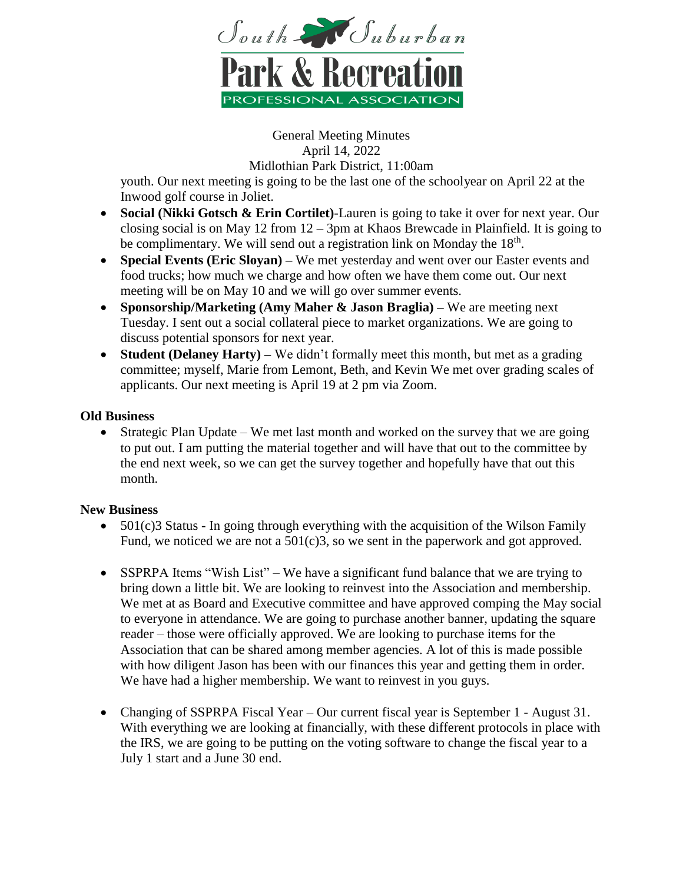

General Meeting Minutes April 14, 2022

Midlothian Park District, 11:00am

youth. Our next meeting is going to be the last one of the schoolyear on April 22 at the Inwood golf course in Joliet.

- **Social (Nikki Gotsch & Erin Cortilet)**-Lauren is going to take it over for next year. Our closing social is on May 12 from 12 – 3pm at Khaos Brewcade in Plainfield. It is going to be complimentary. We will send out a registration link on Monday the  $18<sup>th</sup>$ .
- **Special Events (Eric Sloyan) –** We met yesterday and went over our Easter events and food trucks; how much we charge and how often we have them come out. Our next meeting will be on May 10 and we will go over summer events.
- **Sponsorship/Marketing (Amy Maher & Jason Braglia) –** We are meeting next Tuesday. I sent out a social collateral piece to market organizations. We are going to discuss potential sponsors for next year.
- **Student (Delaney Harty) –** We didn't formally meet this month, but met as a grading committee; myself, Marie from Lemont, Beth, and Kevin We met over grading scales of applicants. Our next meeting is April 19 at 2 pm via Zoom.

# **Old Business**

 Strategic Plan Update – We met last month and worked on the survey that we are going to put out. I am putting the material together and will have that out to the committee by the end next week, so we can get the survey together and hopefully have that out this month.

### **New Business**

- 501(c)3 Status In going through everything with the acquisition of the Wilson Family Fund, we noticed we are not a 501(c)3, so we sent in the paperwork and got approved.
- SSPRPA Items "Wish List" We have a significant fund balance that we are trying to bring down a little bit. We are looking to reinvest into the Association and membership. We met at as Board and Executive committee and have approved comping the May social to everyone in attendance. We are going to purchase another banner, updating the square reader – those were officially approved. We are looking to purchase items for the Association that can be shared among member agencies. A lot of this is made possible with how diligent Jason has been with our finances this year and getting them in order. We have had a higher membership. We want to reinvest in you guys.
- Changing of SSPRPA Fiscal Year Our current fiscal year is September 1 August 31. With everything we are looking at financially, with these different protocols in place with the IRS, we are going to be putting on the voting software to change the fiscal year to a July 1 start and a June 30 end.